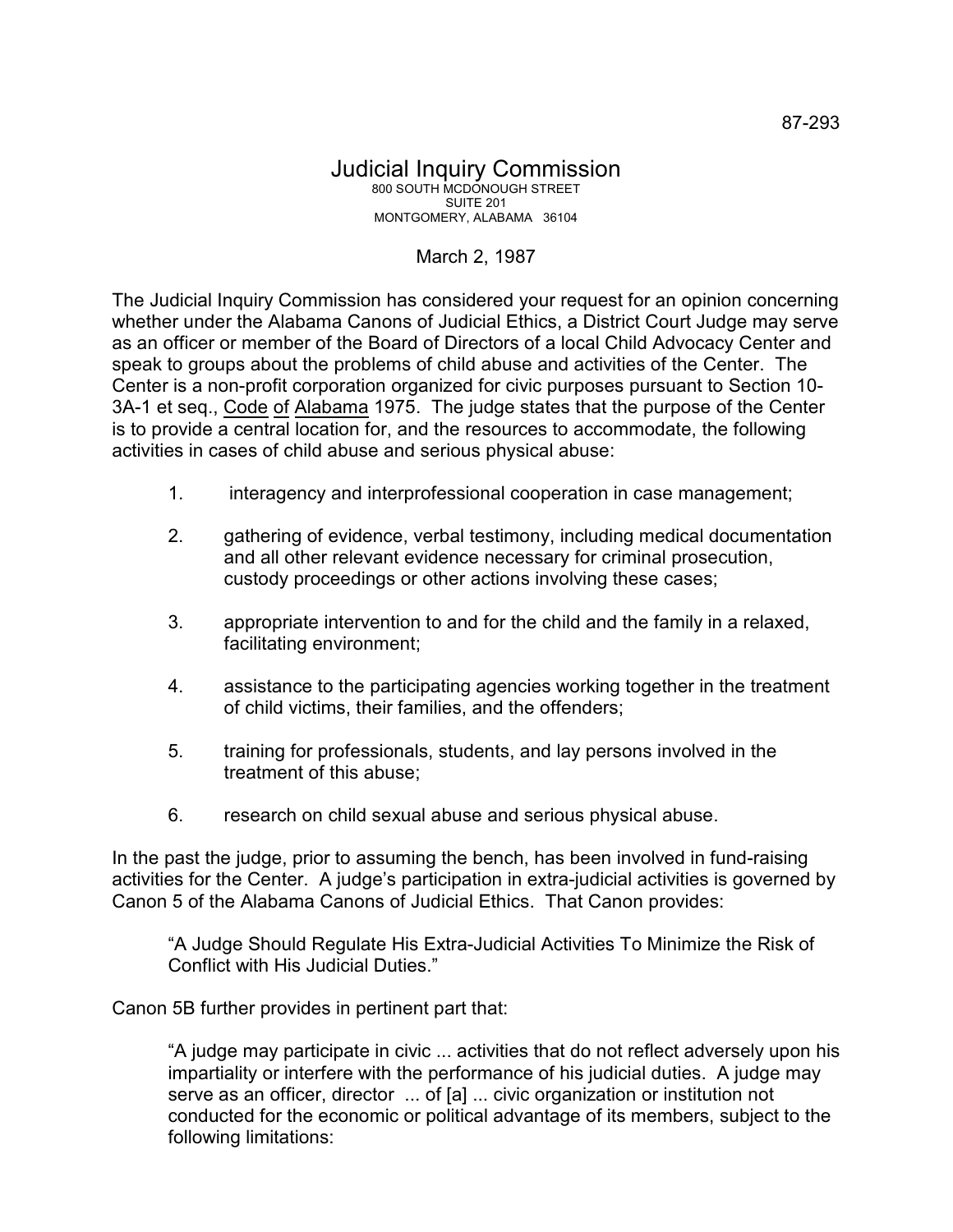## Judicial Inquiry Commission 800 SOUTH MCDONOUGH STREET SUITE 201 MONTGOMERY, ALABAMA 36104

## March 2, 1987

The Judicial Inquiry Commission has considered your request for an opinion concerning whether under the Alabama Canons of Judicial Ethics, a District Court Judge may serve as an officer or member of the Board of Directors of a local Child Advocacy Center and speak to groups about the problems of child abuse and activities of the Center. The Center is a non-profit corporation organized for civic purposes pursuant to Section 10- 3A-1 et seq., Code of Alabama 1975. The judge states that the purpose of the Center is to provide a central location for, and the resources to accommodate, the following activities in cases of child abuse and serious physical abuse:

- 1. interagency and interprofessional cooperation in case management;
- 2. gathering of evidence, verbal testimony, including medical documentation and all other relevant evidence necessary for criminal prosecution, custody proceedings or other actions involving these cases;
- 3. appropriate intervention to and for the child and the family in a relaxed, facilitating environment;
- 4. assistance to the participating agencies working together in the treatment of child victims, their families, and the offenders;
- 5. training for professionals, students, and lay persons involved in the treatment of this abuse;
- 6. research on child sexual abuse and serious physical abuse.

In the past the judge, prior to assuming the bench, has been involved in fund-raising activities for the Center. A judge's participation in extra-judicial activities is governed by Canon 5 of the Alabama Canons of Judicial Ethics. That Canon provides:

"A Judge Should Regulate His Extra-Judicial Activities To Minimize the Risk of Conflict with His Judicial Duties."

Canon 5B further provides in pertinent part that:

"A judge may participate in civic ... activities that do not reflect adversely upon his impartiality or interfere with the performance of his judicial duties. A judge may serve as an officer, director ... of [a] ... civic organization or institution not conducted for the economic or political advantage of its members, subject to the following limitations: